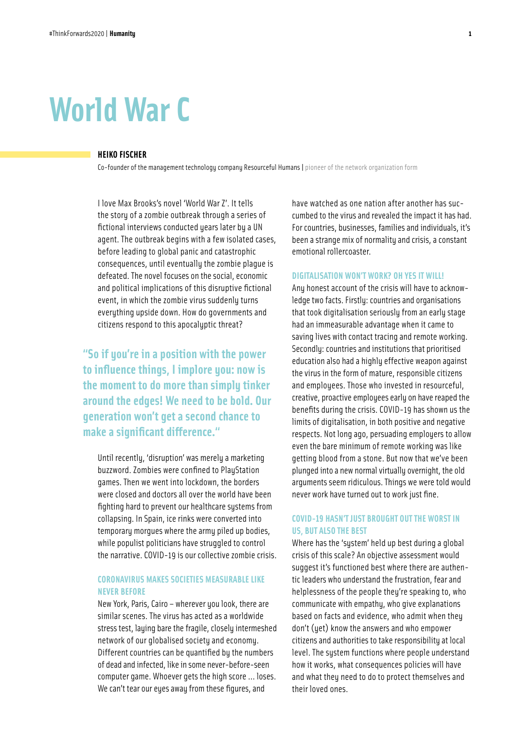# **World War C**

#### **HEIKO FISCHER**

Co-founder of the management technology company Resourceful Humans **|** pioneer of the network organization form

I love Max Brooks's novel 'World War Z'. It tells the story of a zombie outbreak through a series of fictional interviews conducted years later by a UN agent. The outbreak begins with a few isolated cases, before leading to global panic and catastrophic consequences, until eventually the zombie plague is defeated. The novel focuses on the social, economic and political implications of this disruptive fictional event, in which the zombie virus suddenly turns everything upside down. How do governments and citizens respond to this apocalyptic threat?

**"So if you're in a position with the power to influence things, I implore you: now is the moment to do more than simply tinker around the edges! We need to be bold. Our generation won't get a second chance to make a significant difference."**

Until recently, 'disruption' was merely a marketing buzzword. Zombies were confined to PlayStation games. Then we went into lockdown, the borders were closed and doctors all over the world have been fighting hard to prevent our healthcare systems from collapsing. In Spain, ice rinks were converted into temporary morgues where the army piled up bodies, while populist politicians have struggled to control the narrative. COVID-19 is our collective zombie crisis.

# **CORONAVIRUS MAKES SOCIETIES MEASURABLE LIKE NEVER BEFORE**

New York, Paris, Cairo – wherever you look, there are similar scenes. The virus has acted as a worldwide stress test, laying bare the fragile, closely intermeshed network of our globalised society and economy. Different countries can be quantified by the numbers of dead and infected, like in some never-before-seen computer game. Whoever gets the high score … loses. We can't tear our eyes away from these figures, and

have watched as one nation after another has succumbed to the virus and revealed the impact it has had. For countries, businesses, families and individuals, it's been a strange mix of normality and crisis, a constant emotional rollercoaster.

## **DIGITALISATION WON'T WORK? OH YES IT WILL!**

Any honest account of the crisis will have to acknowledge two facts. Firstly: countries and organisations that took digitalisation seriously from an early stage had an immeasurable advantage when it came to saving lives with contact tracing and remote working. Secondly: countries and institutions that prioritised education also had a highly effective weapon against the virus in the form of mature, responsible citizens and employees. Those who invested in resourceful, creative, proactive employees early on have reaped the benefits during the crisis. COVID-19 has shown us the limits of digitalisation, in both positive and negative respects. Not long ago, persuading employers to allow even the bare minimum of remote working was like getting blood from a stone. But now that we've been plunged into a new normal virtually overnight, the old arguments seem ridiculous. Things we were told would never work have turned out to work just fine.

## **COVID-19 HASN'T JUST BROUGHT OUT THE WORST IN US, BUT ALSO THE BEST**

Where has the 'system' held up best during a global crisis of this scale? An objective assessment would suggest it's functioned best where there are authentic leaders who understand the frustration, fear and helplessness of the people they're speaking to, who communicate with empathy, who give explanations based on facts and evidence, who admit when they don't (yet) know the answers and who empower citizens and authorities to take responsibility at local level. The system functions where people understand how it works, what consequences policies will have and what they need to do to protect themselves and their loved ones.